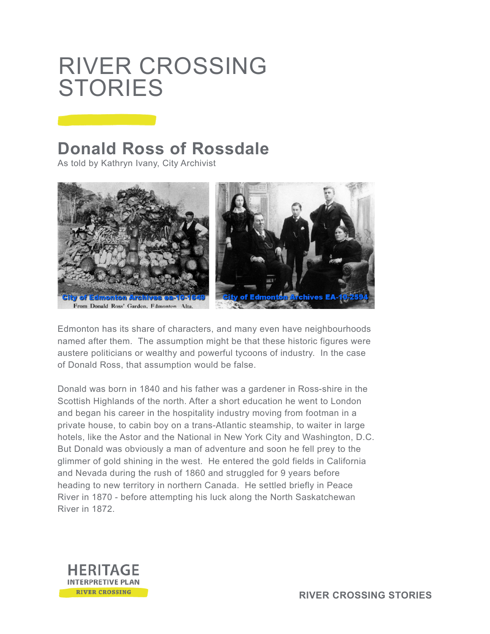## RIVER CROSSING **STORIES**

## **Donald Ross of Rossdale**

As told by Kathryn Ivany, City Archivist



Edmonton has its share of characters, and many even have neighbourhoods named after them. The assumption might be that these historic figures were austere politicians or wealthy and powerful tycoons of industry. In the case of Donald Ross, that assumption would be false.

Donald was born in 1840 and his father was a gardener in Ross-shire in the Scottish Highlands of the north. After a short education he went to London and began his career in the hospitality industry moving from footman in a private house, to cabin boy on a trans-Atlantic steamship, to waiter in large hotels, like the Astor and the National in New York City and Washington, D.C. But Donald was obviously a man of adventure and soon he fell prey to the glimmer of gold shining in the west. He entered the gold fields in California and Nevada during the rush of 1860 and struggled for 9 years before heading to new territory in northern Canada. He settled briefly in Peace River in 1870 - before attempting his luck along the North Saskatchewan River in 1872.

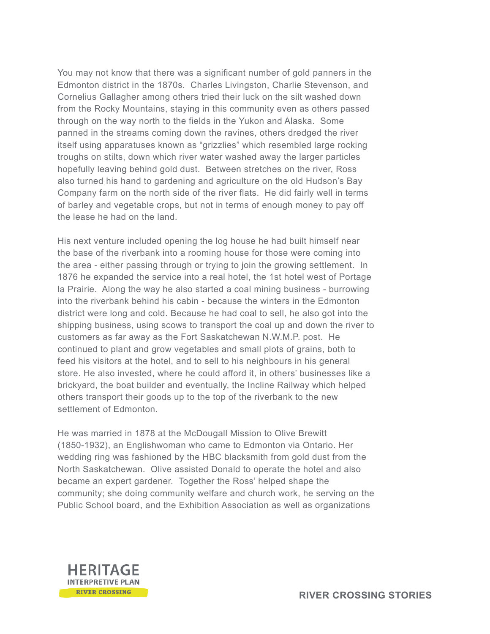You may not know that there was a significant number of gold panners in the Edmonton district in the 1870s. Charles Livingston, Charlie Stevenson, and Cornelius Gallagher among others tried their luck on the silt washed down from the Rocky Mountains, staying in this community even as others passed through on the way north to the fields in the Yukon and Alaska. Some panned in the streams coming down the ravines, others dredged the river itself using apparatuses known as "grizzlies" which resembled large rocking troughs on stilts, down which river water washed away the larger particles hopefully leaving behind gold dust. Between stretches on the river, Ross also turned his hand to gardening and agriculture on the old Hudson's Bay Company farm on the north side of the river flats. He did fairly well in terms of barley and vegetable crops, but not in terms of enough money to pay off the lease he had on the land.

His next venture included opening the log house he had built himself near the base of the riverbank into a rooming house for those were coming into the area - either passing through or trying to join the growing settlement. In 1876 he expanded the service into a real hotel, the 1st hotel west of Portage la Prairie. Along the way he also started a coal mining business - burrowing into the riverbank behind his cabin - because the winters in the Edmonton district were long and cold. Because he had coal to sell, he also got into the shipping business, using scows to transport the coal up and down the river to customers as far away as the Fort Saskatchewan N.W.M.P. post. He continued to plant and grow vegetables and small plots of grains, both to feed his visitors at the hotel, and to sell to his neighbours in his general store. He also invested, where he could afford it, in others' businesses like a brickyard, the boat builder and eventually, the Incline Railway which helped others transport their goods up to the top of the riverbank to the new settlement of Edmonton.

He was married in 1878 at the McDougall Mission to Olive Brewitt (1850-1932), an Englishwoman who came to Edmonton via Ontario. Her wedding ring was fashioned by the HBC blacksmith from gold dust from the North Saskatchewan. Olive assisted Donald to operate the hotel and also became an expert gardener. Together the Ross' helped shape the community; she doing community welfare and church work, he serving on the Public School board, and the Exhibition Association as well as organizations